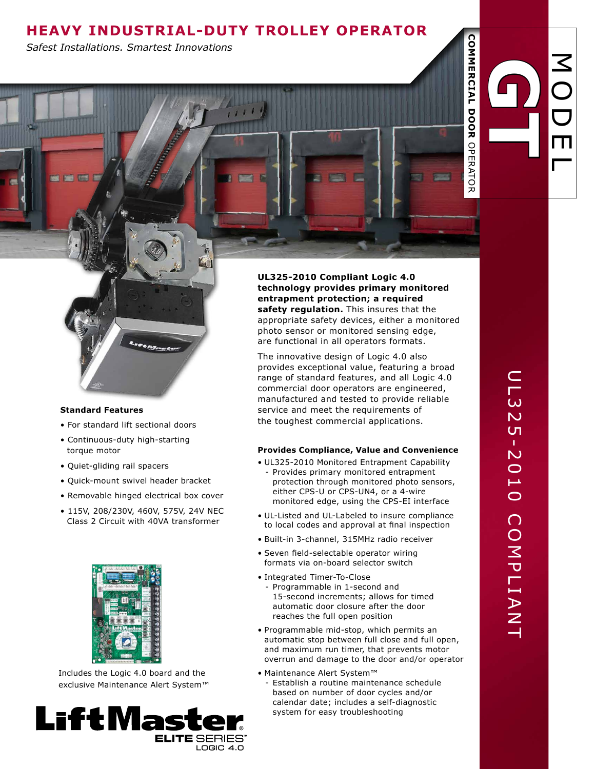# **HEAVY INDUSTRIAL-Duty TROLLEY Operator**

XU

*Safest Installations. Smartest Innovations*

# **Standard Features**

- For standard lift sectional doors
- Continuous-duty high-starting torque motor
- Quiet-gliding rail spacers
- Quick-mount swivel header bracket
- Removable hinged electrical box cover
- 115V, 208/230V, 460V, 575V, 24V NEC Class 2 Circuit with 40VA transformer



Includes the Logic 4.0 board and the exclusive Maintenance Alert System™



**UL325-2010 Compliant Logic 4.0 technology provides primary monitored entrapment protection; a required safety regulation.** This insures that the appropriate safety devices, either a monitored photo sensor or monitored sensing edge, are functional in all operators formats.

The innovative design of Logic 4.0 also provides exceptional value, featuring a broad range of standard features, and all Logic 4.0 commercial door operators are engineered, manufactured and tested to provide reliable service and meet the requirements of the toughest commercial applications.

# **Provides Compliance, Value and Convenience**

- UL325-2010 Monitored Entrapment Capability - Provides primary monitored entrapment protection through monitored photo sensors, either CPS-U or CPS-UN4, or a 4-wire monitored edge, using the CPS-EI interface
- UL-Listed and UL-Labeled to insure compliance to local codes and approval at final inspection
- Built-in 3-channel, 315MHz radio receiver
- Seven field-selectable operator wiring formats via on-board selector switch
- Integrated Timer-To-Close
	- Programmable in 1-second and 15-second increments; allows for timed automatic door closure after the door reaches the full open position
- Programmable mid-stop, which permits an automatic stop between full close and full open, and maximum run timer, that prevents motor overrun and damage to the door and/or operator
- Maintenance Alert System™
	- Establish a routine maintenance schedule based on number of door cycles and/or calendar date; includes a self-diagnostic system for easy troubleshooting

 $\boldsymbol{\mathcal{Z}}$ 

O

**COMMERCIAL DOOR** 

**DOOR** 

COMMERCIAL

OPERATOR

**OPERATOR** 

 $\bigcup$ 

E

 $\overline{\phantom{0}}$